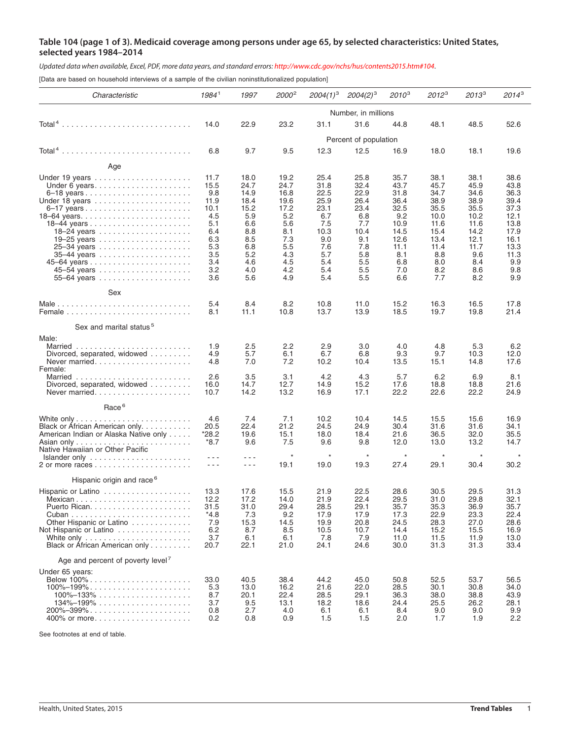## Table 104 (page 1 of 3). Medicaid coverage among persons under age 65, by selected characteristics: United States, **selected years 1984–2014**

Updated data when available, Excel, PDF, more data years, and standard errors: http://www.cdc.gov/nchs/hus/contents2015.htm#104.

[Data are based on household interviews of a sample of the civilian noninstitutionalized population]

| Characteristic                                                                                                                                                                       | 1984 <sup>1</sup>                                                                                 | 1997                                                                                                                                                                                                                                                                                                                                                                                                                                  | 2000 <sup>2</sup>                                                              | $2004(1)^3$                                                                     | $2004(2)^3$                                                                     | $2010^{3}$                                                                         | $2012^3$                                                                            | $2013^3$                                                                            | $2014^3$                                                                             |  |  |
|--------------------------------------------------------------------------------------------------------------------------------------------------------------------------------------|---------------------------------------------------------------------------------------------------|---------------------------------------------------------------------------------------------------------------------------------------------------------------------------------------------------------------------------------------------------------------------------------------------------------------------------------------------------------------------------------------------------------------------------------------|--------------------------------------------------------------------------------|---------------------------------------------------------------------------------|---------------------------------------------------------------------------------|------------------------------------------------------------------------------------|-------------------------------------------------------------------------------------|-------------------------------------------------------------------------------------|--------------------------------------------------------------------------------------|--|--|
|                                                                                                                                                                                      | Number, in millions                                                                               |                                                                                                                                                                                                                                                                                                                                                                                                                                       |                                                                                |                                                                                 |                                                                                 |                                                                                    |                                                                                     |                                                                                     |                                                                                      |  |  |
|                                                                                                                                                                                      | 14.0                                                                                              | 22.9                                                                                                                                                                                                                                                                                                                                                                                                                                  | 23.2                                                                           | 31.1                                                                            | 31.6                                                                            | 44.8                                                                               | 48.1                                                                                | 48.5                                                                                | 52.6                                                                                 |  |  |
|                                                                                                                                                                                      | Percent of population                                                                             |                                                                                                                                                                                                                                                                                                                                                                                                                                       |                                                                                |                                                                                 |                                                                                 |                                                                                    |                                                                                     |                                                                                     |                                                                                      |  |  |
|                                                                                                                                                                                      | 6.8                                                                                               | 9.7                                                                                                                                                                                                                                                                                                                                                                                                                                   | 9.5                                                                            | 12.3                                                                            | 12.5                                                                            | 16.9                                                                               | 18.0                                                                                | 18.1                                                                                | 19.6                                                                                 |  |  |
| Age                                                                                                                                                                                  |                                                                                                   |                                                                                                                                                                                                                                                                                                                                                                                                                                       |                                                                                |                                                                                 |                                                                                 |                                                                                    |                                                                                     |                                                                                     |                                                                                      |  |  |
| Under 6 years<br>Under 18 years<br>6–17 years<br>25–34 years<br>35–44 years                                                                                                          | 11.7<br>15.5<br>9.8<br>11.9<br>10.1<br>4.5<br>5.1<br>6.4<br>6.3<br>5.3<br>3.5                     | 18.0<br>24.7<br>14.9<br>18.4<br>15.2<br>5.9<br>6.6<br>8.8<br>8.5<br>6.8<br>5.2                                                                                                                                                                                                                                                                                                                                                        | 19.2<br>24.7<br>16.8<br>19.6<br>17.2<br>5.2<br>5.6<br>8.1<br>7.3<br>5.5<br>4.3 | 25.4<br>31.8<br>22.5<br>25.9<br>23.1<br>6.7<br>7.5<br>10.3<br>9.0<br>7.6<br>5.7 | 25.8<br>32.4<br>22.9<br>26.4<br>23.4<br>6.8<br>7.7<br>10.4<br>9.1<br>7.8<br>5.8 | 35.7<br>43.7<br>31.8<br>36.4<br>32.5<br>9.2<br>10.9<br>14.5<br>12.6<br>11.1<br>8.1 | 38.1<br>45.7<br>34.7<br>38.9<br>35.5<br>10.0<br>11.6<br>15.4<br>13.4<br>11.4<br>8.8 | 38.1<br>45.9<br>34.6<br>38.9<br>35.5<br>10.2<br>11.6<br>14.2<br>12.1<br>11.7<br>9.6 | 38.6<br>43.8<br>36.3<br>39.4<br>37.3<br>12.1<br>13.8<br>17.9<br>16.1<br>13.3<br>11.3 |  |  |
|                                                                                                                                                                                      | 3.4<br>3.2<br>3.6                                                                                 | 4.6<br>4.0                                                                                                                                                                                                                                                                                                                                                                                                                            | 4.5<br>4.2<br>4.9                                                              | 5.4<br>5.4<br>5.4                                                               | 5.5<br>5.5<br>5.5                                                               | 6.8<br>7.0<br>6.6                                                                  | 8.0<br>8.2<br>7.7                                                                   | 8.4<br>8.6<br>8.2                                                                   | 9.9<br>9.8<br>9.9                                                                    |  |  |
| Sex                                                                                                                                                                                  |                                                                                                   | 5.6                                                                                                                                                                                                                                                                                                                                                                                                                                   |                                                                                |                                                                                 |                                                                                 |                                                                                    |                                                                                     |                                                                                     |                                                                                      |  |  |
|                                                                                                                                                                                      | 5.4<br>8.1                                                                                        | 8.4<br>11.1                                                                                                                                                                                                                                                                                                                                                                                                                           | 8.2<br>10.8                                                                    | 10.8<br>13.7                                                                    | 11.0<br>13.9                                                                    | 15.2<br>18.5                                                                       | 16.3<br>19.7                                                                        | 16.5<br>19.8                                                                        | 17.8<br>21.4                                                                         |  |  |
| Sex and marital status <sup>5</sup>                                                                                                                                                  |                                                                                                   |                                                                                                                                                                                                                                                                                                                                                                                                                                       |                                                                                |                                                                                 |                                                                                 |                                                                                    |                                                                                     |                                                                                     |                                                                                      |  |  |
| Male:<br>Divorced, separated, widowed $\ldots \ldots$<br>Never married<br>Female:<br>Divorced, separated, widowed $\ldots \ldots \ldots$<br>Never married                            | 1.9<br>4.9<br>4.8<br>2.6<br>16.0<br>10.7                                                          | 2.5<br>5.7<br>7.0<br>3.5<br>14.7<br>14.2                                                                                                                                                                                                                                                                                                                                                                                              | 2.2<br>6.1<br>7.2<br>3.1<br>12.7<br>13.2                                       | 2.9<br>6.7<br>10.2<br>4.2<br>14.9<br>16.9                                       | 3.0<br>6.8<br>10.4<br>4.3<br>15.2<br>17.1                                       | 4.0<br>9.3<br>13.5<br>5.7<br>17.6<br>22.2                                          | 4.8<br>9.7<br>15.1<br>6.2<br>18.8<br>22.6                                           | 5.3<br>10.3<br>14.8<br>6.9<br>18.8<br>22.2                                          | 6.2<br>12.0<br>17.6<br>8.1<br>21.6<br>24.9                                           |  |  |
| Race <sup>6</sup>                                                                                                                                                                    |                                                                                                   |                                                                                                                                                                                                                                                                                                                                                                                                                                       |                                                                                |                                                                                 |                                                                                 |                                                                                    |                                                                                     |                                                                                     |                                                                                      |  |  |
| Black or African American only<br>American Indian or Alaska Native only<br>Native Hawaiian or Other Pacific<br>$Islander only \dots \dots \dots \dots \dots \dots \dots \dots \dots$ | 4.6<br>20.5<br>*28.2<br>*8.7<br>$\frac{1}{2} \left( \frac{1}{2} \right) = \frac{1}{2}$<br>$- - -$ | 7.4<br>22.4<br>19.6<br>9.6<br>$- - -$<br>$\frac{1}{2} \frac{1}{2} \frac{1}{2} \frac{1}{2} \frac{1}{2} \frac{1}{2} \frac{1}{2} \frac{1}{2} \frac{1}{2} \frac{1}{2} \frac{1}{2} \frac{1}{2} \frac{1}{2} \frac{1}{2} \frac{1}{2} \frac{1}{2} \frac{1}{2} \frac{1}{2} \frac{1}{2} \frac{1}{2} \frac{1}{2} \frac{1}{2} \frac{1}{2} \frac{1}{2} \frac{1}{2} \frac{1}{2} \frac{1}{2} \frac{1}{2} \frac{1}{2} \frac{1}{2} \frac{1}{2} \frac{$ | 7.1<br>21.2<br>15.1<br>7.5<br>$\star$<br>19.1                                  | 10.2<br>24.5<br>18.0<br>9.6<br>$\star$<br>19.0                                  | 10.4<br>24.9<br>18.4<br>9.8<br>$\star$<br>19.3                                  | 14.5<br>30.4<br>21.6<br>12.0<br>$\star$<br>27.4                                    | 15.5<br>31.6<br>36.5<br>13.0<br>$\star$<br>29.1                                     | 15.6<br>31.6<br>32.0<br>13.2<br>$\star$<br>30.4                                     | 16.9<br>34.1<br>35.5<br>14.7<br>$\star$<br>30.2                                      |  |  |
| Hispanic origin and race <sup>6</sup>                                                                                                                                                |                                                                                                   |                                                                                                                                                                                                                                                                                                                                                                                                                                       |                                                                                |                                                                                 |                                                                                 |                                                                                    |                                                                                     |                                                                                     |                                                                                      |  |  |
| Other Hispanic or Latino<br>Not Hispanic or Latino<br>White only $\ldots \ldots \ldots \ldots \ldots \ldots$<br>Black or African American only                                       | 13.3<br>12.2<br>31.5<br>*4.8<br>7.9<br>6.2<br>3.7<br>20.7                                         | 17.6<br>17.2<br>31.0<br>7.3<br>15.3<br>8.7<br>6.1<br>22.1                                                                                                                                                                                                                                                                                                                                                                             | 15.5<br>14.0<br>29.4<br>9.2<br>14.5<br>8.5<br>6.1<br>21.0                      | 21.9<br>21.9<br>28.5<br>17.9<br>19.9<br>10.5<br>7.8<br>24.1                     | 22.5<br>22.4<br>29.1<br>17.9<br>20.8<br>10.7<br>7.9<br>24.6                     | 28.6<br>29.5<br>35.7<br>17.3<br>24.5<br>14.4<br>11.0<br>30.0                       | 30.5<br>31.0<br>35.3<br>22.9<br>28.3<br>15.2<br>11.5<br>31.3                        | 29.5<br>29.8<br>36.9<br>23.3<br>27.0<br>15.5<br>11.9<br>31.3                        | 31.3<br>32.1<br>35.7<br>22.4<br>28.6<br>16.9<br>13.0<br>33.4                         |  |  |
| Age and percent of poverty level <sup>7</sup>                                                                                                                                        |                                                                                                   |                                                                                                                                                                                                                                                                                                                                                                                                                                       |                                                                                |                                                                                 |                                                                                 |                                                                                    |                                                                                     |                                                                                     |                                                                                      |  |  |
| Under 65 years:<br>Below 100%<br>$100\% - 199\%$<br>$100\% - 133\%$<br>$134\% - 199\%$<br>$200\% - 399\%$<br>400% or more                                                            | 33.0<br>5.3<br>8.7<br>3.7<br>0.8<br>0.2                                                           | 40.5<br>13.0<br>20.1<br>9.5<br>2.7<br>0.8                                                                                                                                                                                                                                                                                                                                                                                             | 38.4<br>16.2<br>22.4<br>13.1<br>4.0<br>0.9                                     | 44.2<br>21.6<br>28.5<br>18.2<br>6.1<br>1.5                                      | 45.0<br>22.0<br>29.1<br>18.6<br>6.1<br>1.5                                      | 50.8<br>28.5<br>36.3<br>24.4<br>8.4<br>2.0                                         | 52.5<br>30.1<br>38.0<br>25.5<br>9.0<br>1.7                                          | 53.7<br>30.8<br>38.8<br>26.2<br>9.0<br>1.9                                          | 56.5<br>34.0<br>43.9<br>28.1<br>9.9<br>2.2                                           |  |  |

See footnotes at end of table.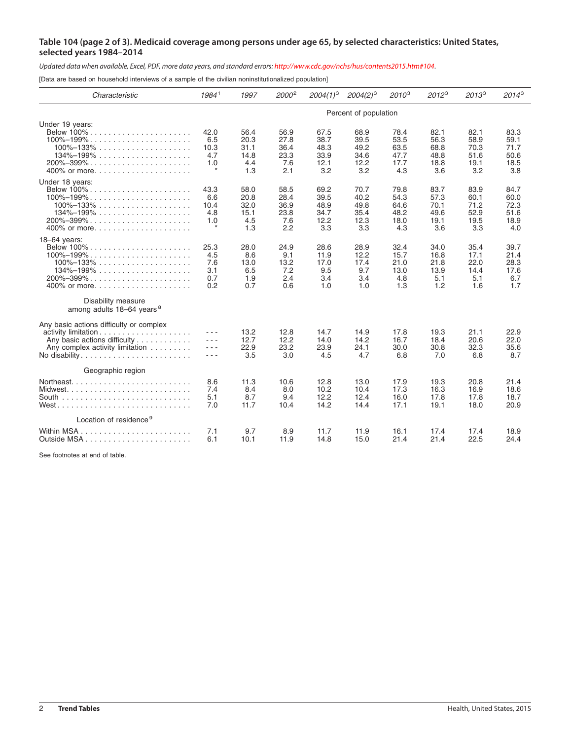## Table 104 (page 2 of 3). Medicaid coverage among persons under age 65, by selected characteristics: United States, **selected years 1984–2014**

Updated data when available, Excel, PDF, more data years, and standard errors: http://www.cdc.gov/nchs/hus/contents2015.htm#104.

[Data are based on household interviews of a sample of the civilian noninstitutionalized population]

| Characteristic                                                                                                                                                                                                                                                                                                                    | 1984 <sup>1</sup>                            | 1997                                       | 2000 <sup>2</sup>                          | $2004(1)^3$                                 | $2004(2)^3$                                 | $2010^{3}$                                  | $2012^3$                                    | $2013^3$                                    | $2014^3$                                    |  |
|-----------------------------------------------------------------------------------------------------------------------------------------------------------------------------------------------------------------------------------------------------------------------------------------------------------------------------------|----------------------------------------------|--------------------------------------------|--------------------------------------------|---------------------------------------------|---------------------------------------------|---------------------------------------------|---------------------------------------------|---------------------------------------------|---------------------------------------------|--|
|                                                                                                                                                                                                                                                                                                                                   | Percent of population                        |                                            |                                            |                                             |                                             |                                             |                                             |                                             |                                             |  |
| Under 19 years:<br>Below 100%.<br>$100\% - 199\% \ldots \ldots \ldots \ldots \ldots \ldots \ldots$<br>$100\% - 133\%$<br>$134\% - 199\% \ldots \ldots \ldots \ldots \ldots \ldots$<br>$200\% - 399\% \ldots \ldots \ldots \ldots \ldots \ldots \ldots$<br>400% or more                                                            | 42.0<br>6.5<br>10.3<br>4.7<br>1.0<br>$\star$ | 56.4<br>20.3<br>31.1<br>14.8<br>4.4<br>1.3 | 56.9<br>27.8<br>36.4<br>23.3<br>7.6<br>2.1 | 67.5<br>38.7<br>48.3<br>33.9<br>12.1<br>3.2 | 68.9<br>39.5<br>49.2<br>34.6<br>12.2<br>3.2 | 78.4<br>53.5<br>63.5<br>47.7<br>17.7<br>4.3 | 82.1<br>56.3<br>68.8<br>48.8<br>18.8<br>3.6 | 82.1<br>58.9<br>70.3<br>51.6<br>19.1<br>3.2 | 83.3<br>59.1<br>71.7<br>50.6<br>18.5<br>3.8 |  |
| Under 18 years:<br>Below 100%<br>$100\% - 199\%$<br>$100\% - 133\% \ldots \ldots \ldots \ldots \ldots \ldots$<br>$134\% - 199\%$<br>$200\% - 399\% \ldots \ldots \ldots \ldots \ldots \ldots \ldots$                                                                                                                              | 43.3<br>6.6<br>10.4<br>4.8<br>1.0<br>$\star$ | 58.0<br>20.8<br>32.0<br>15.1<br>4.5<br>1.3 | 58.5<br>28.4<br>36.9<br>23.8<br>7.6<br>2.2 | 69.2<br>39.5<br>48.9<br>34.7<br>12.2<br>3.3 | 70.7<br>40.2<br>49.8<br>35.4<br>12.3<br>3.3 | 79.8<br>54.3<br>64.6<br>48.2<br>18.0<br>4.3 | 83.7<br>57.3<br>70.1<br>49.6<br>19.1<br>3.6 | 83.9<br>60.1<br>71.2<br>52.9<br>19.5<br>3.3 | 84.7<br>60.0<br>72.3<br>51.6<br>18.9<br>4.0 |  |
| 18-64 years:<br>Below 100%<br>$100\% - 199\%$<br>$100\% - 133\% \ldots \ldots \ldots \ldots \ldots \ldots$<br>$134\% - 199\% \ldots \ldots \ldots \ldots \ldots \ldots$<br>$200\% - 399\% \ldots \ldots \ldots \ldots \ldots \ldots \ldots \ldots$<br>400% or more<br>Disability measure<br>among adults 18-64 years <sup>8</sup> | 25.3<br>4.5<br>7.6<br>3.1<br>0.7<br>0.2      | 28.0<br>8.6<br>13.0<br>6.5<br>1.9<br>0.7   | 24.9<br>9.1<br>13.2<br>7.2<br>2.4<br>0.6   | 28.6<br>11.9<br>17.0<br>9.5<br>3.4<br>1.0   | 28.9<br>12.2<br>17.4<br>9.7<br>3.4<br>1.0   | 32.4<br>15.7<br>21.0<br>13.0<br>4.8<br>1.3  | 34.0<br>16.8<br>21.8<br>13.9<br>5.1<br>1.2  | 35.4<br>17.1<br>22.0<br>14.4<br>5.1<br>1.6  | 39.7<br>21.4<br>28.3<br>17.6<br>6.7<br>1.7  |  |
| Any basic actions difficulty or complex<br>Any basic actions difficulty<br>Any complex activity limitation                                                                                                                                                                                                                        | - - -<br>- - -<br>$  -$                      | 13.2<br>12.7<br>22.9<br>3.5                | 12.8<br>12.2<br>23.2<br>3.0                | 14.7<br>14.0<br>23.9<br>4.5                 | 14.9<br>14.2<br>24.1<br>4.7                 | 17.8<br>16.7<br>30.0<br>6.8                 | 19.3<br>18.4<br>30.8<br>7.0                 | 21.1<br>20.6<br>32.3<br>6.8                 | 22.9<br>22.0<br>35.6<br>8.7                 |  |
| Geographic region                                                                                                                                                                                                                                                                                                                 | 8.6<br>7.4<br>5.1<br>7.0                     | 11.3<br>8.4<br>8.7<br>11.7                 | 10.6<br>8.0<br>9.4<br>10.4                 | 12.8<br>10.2<br>12.2<br>14.2                | 13.0<br>10.4<br>12.4<br>14.4                | 17.9<br>17.3<br>16.0<br>17.1                | 19.3<br>16.3<br>17.8<br>19.1                | 20.8<br>16.9<br>17.8<br>18.0                | 21.4<br>18.6<br>18.7<br>20.9                |  |
| Location of residence <sup>9</sup>                                                                                                                                                                                                                                                                                                |                                              |                                            |                                            |                                             |                                             |                                             |                                             |                                             |                                             |  |
|                                                                                                                                                                                                                                                                                                                                   | 7.1<br>6.1                                   | 9.7<br>10.1                                | 8.9<br>11.9                                | 11.7<br>14.8                                | 11.9<br>15.0                                | 16.1<br>21.4                                | 17.4<br>21.4                                | 17.4<br>22.5                                | 18.9<br>24.4                                |  |

See footnotes at end of table.